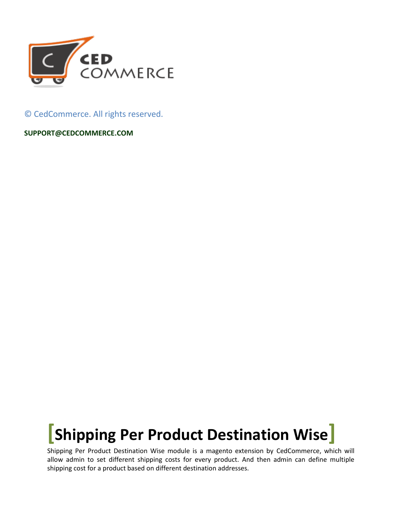

© CedCommerce. All rights reserved.

**SUPPORT@CEDCOMMERCE.COM**

## **[Shipping Per Product Destination Wise]**

Shipping Per Product Destination Wise module is a magento extension by CedCommerce, which will allow admin to set different shipping costs for every product. And then admin can define multiple shipping cost for a product based on different destination addresses.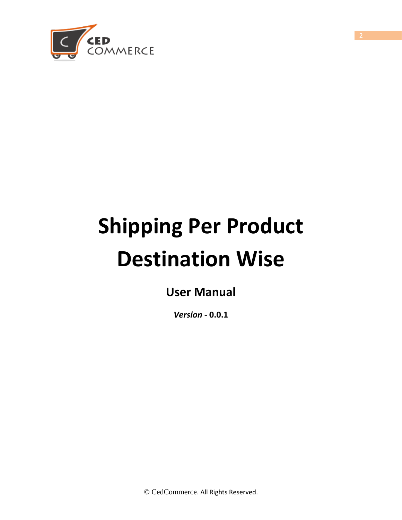

# **Shipping Per Product Destination Wise**

**User Manual** 

*Version* **- 0.0.1**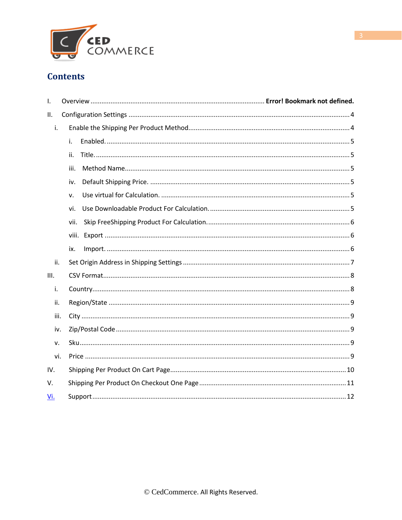

#### **Contents**

| I.   |       |  |
|------|-------|--|
| ΙΙ.  |       |  |
| i.   |       |  |
|      | i.    |  |
|      | ii.   |  |
|      | iii.  |  |
|      | iv.   |  |
|      | v.    |  |
|      | vi.   |  |
|      | vii.  |  |
|      | viii. |  |
|      | ix.   |  |
| ii.  |       |  |
| Ш.   |       |  |
| i.   |       |  |
| ii.  |       |  |
| iii. |       |  |
| iv.  |       |  |
| v.   |       |  |
| vi.  |       |  |
| IV.  |       |  |
| V.   |       |  |
| Vi.  |       |  |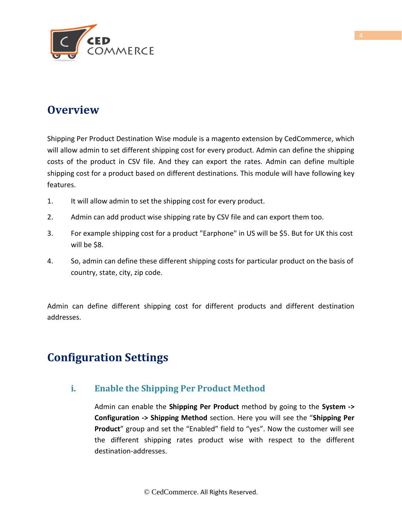

## **Overview**

Shipping Per Product Destination Wise module is a magento extension by CedCommerce, which will allow admin to set different shipping cost for every product. Admin can define the shipping costs of the product in CSV file. And they can export the rates. Admin can define multiple shipping cost for a product based on different destinations. This module will have following key features.

- 1. It will allow admin to set the shipping cost for every product.
- 2. Admin can add product wise shipping rate by CSV file and can export them too.
- 3. For example shipping cost for a product "Earphone" in US will be \$5. But for UK this cost will be \$8.
- 4. So, admin can define these different shipping costs for particular product on the basis of country, state, city, zip code.

Admin can define different shipping cost for different products and different destination addresses.

## <span id="page-3-0"></span>**Configuration Settings**

#### **i. Enable the Shipping Per Product Method**

Admin can enable the **Shipping Per Product** method by going to the **System -> Configuration -> Shipping Method** section. Here you will see the "**Shipping Per Product**" group and set the "Enabled" field to "yes". Now the customer will see the different shipping rates product wise with respect to the different destination-addresses.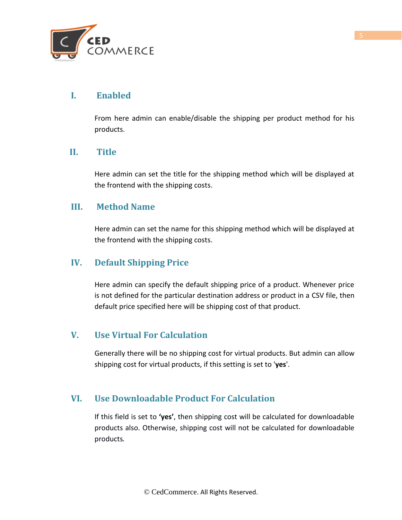

#### **I. Enabled**

From here admin can enable/disable the shipping per product method for his products.

#### **II. Title**

Here admin can set the title for the shipping method which will be displayed at the frontend with the shipping costs.

#### **III. Method Name**

Here admin can set the name for this shipping method which will be displayed at the frontend with the shipping costs.

#### **IV. Default Shipping Price**

Here admin can specify the default shipping price of a product. Whenever price is not defined for the particular destination address or product in a CSV file, then default price specified here will be shipping cost of that product.

#### **V. Use Virtual For Calculation**

Generally there will be no shipping cost for virtual products. But admin can allow shipping cost for virtual products, if this setting is set to '**yes**'.

#### **VI. Use Downloadable Product For Calculation**

If this field is set to **'yes'**, then shipping cost will be calculated for downloadable products also. Otherwise, shipping cost will not be calculated for downloadable products.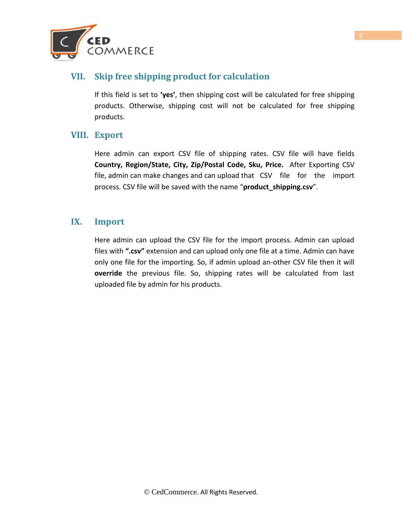

#### **VII. Skip free shipping product for calculation**

If this field is set to **'yes'**, then shipping cost will be calculated for free shipping products. Otherwise, shipping cost will not be calculated for free shipping products.

#### **VIII. Export**

Here admin can export CSV file of shipping rates. CSV file will have fields **Country, Region/State, City, Zip/Postal Code, Sku, Price.** After Exporting CSV file, admin can make changes and can upload that CSV file for the import process. CSV file will be saved with the name "**product\_shipping.csv**".

#### **IX. Import**

Here admin can upload the CSV file for the import process. Admin can upload files with **".csv"** extension and can upload only one file at a time. Admin can have only one file for the importing. So, if admin upload an-other CSV file then it will **override** the previous file. So, shipping rates will be calculated from last uploaded file by admin for his products.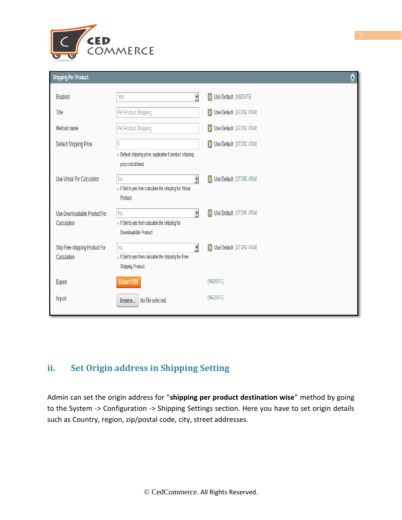

#### **Shipping Per Product**

| . .                                           |                                                                                                           |                                                      |
|-----------------------------------------------|-----------------------------------------------------------------------------------------------------------|------------------------------------------------------|
| Enabled                                       | √<br>Yes                                                                                                  | $\vert \mathbf{X} \vert$<br>Use Default [WEBSITE]    |
| Title                                         | Per Product Shipping                                                                                      | <b>Ed</b> Use Default [STORE VIEW]                   |
| Method name                                   | Per Product Shipping                                                                                      | <b>ET Use Default</b> [STORE VIEW]                   |
| <b>Default Shipping Price</b>                 | 5                                                                                                         | $\overline{\mathbf{z}}$<br>Use Default [STORE VIEW]  |
|                                               | Default shipping price, applicable if product shipping<br>price not defined                               |                                                      |
| Use Virtual For Calculation                   | √<br>N <sub>0</sub><br>A If Set to yes then calculate the shipping for Virtual<br>Product                 | Use Default [STORE VIEW]<br>$\overline{\mathbf{r}}$  |
| Use Downloadable Product For<br>Calculation   | $\mathbf{r}$<br>N <sub>0</sub><br>A If Set to yes then calculate the shipping for<br>Downloadable Product | Use Default [STORE VIEW]<br>$\overline{\mathbf{E}}$  |
| Skip Free shipping Product For<br>Calculation | √<br>N <sub>0</sub><br>A If Set to yes then calculate the shipping for Free<br><b>Shipping Product</b>    | Use Default [STORE VIEW]<br>$\vert \mathbf{x} \vert$ |
| Export                                        | <b>Export CSV</b>                                                                                         | [WEBSITE]                                            |
| Import                                        | No file selected.<br>Browse                                                                               | [WEBSITE]                                            |

#### **ii. Set Origin address in Shipping Setting**

Admin can set the origin address for "**shipping per product destination wise**" method by going to the System -> Configuration -> Shipping Settings section. Here you have to set origin details such as Country, region, zip/postal code, city, street addresses.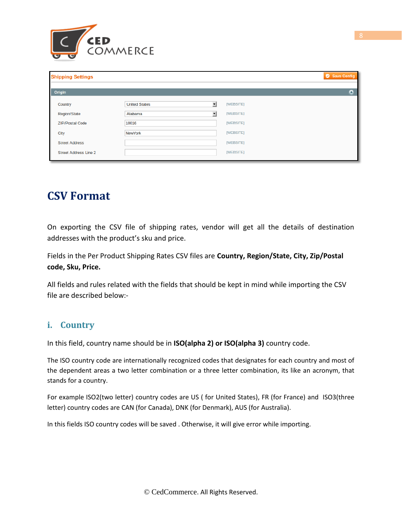

| <b>Shipping Settings</b>     |                      |                           | Save Config |
|------------------------------|----------------------|---------------------------|-------------|
| Origin                       |                      |                           | ٥           |
| Country                      | <b>United States</b> | [WEBSITE]<br>▼            |             |
| <b>Region/State</b>          | Alabama              | [WEBSITE]<br>$\mathbf{r}$ |             |
| <b>ZIP/Postal Code</b>       | 10016                | [WEBSITE]                 |             |
| City                         | NewYork              | [WEBSITE]                 |             |
| <b>Street Address</b>        |                      | [WEBSITE]                 |             |
| <b>Street Address Line 2</b> |                      | [WEBSITE]                 |             |

## **CSV Format**

On exporting the CSV file of shipping rates, vendor will get all the details of destination addresses with the product's sku and price.

Fields in the Per Product Shipping Rates CSV files are **Country, Region/State, City, Zip/Postal code, Sku, Price.** 

All fields and rules related with the fields that should be kept in mind while importing the CSV file are described below:-

#### **i. Country**

In this field, country name should be in **ISO(alpha 2) or ISO(alpha 3)** country code.

The ISO country code are internationally recognized codes that designates for each country and most of the dependent areas a two letter combination or a three letter combination, its like an acronym, that stands for a country.

For example ISO2(two letter) country codes are US ( for United States), FR (for France) and ISO3(three letter) country codes are CAN (for Canada), DNK (for Denmark), AUS (for Australia).

In this fields ISO country codes will be saved . Otherwise, it will give error while importing.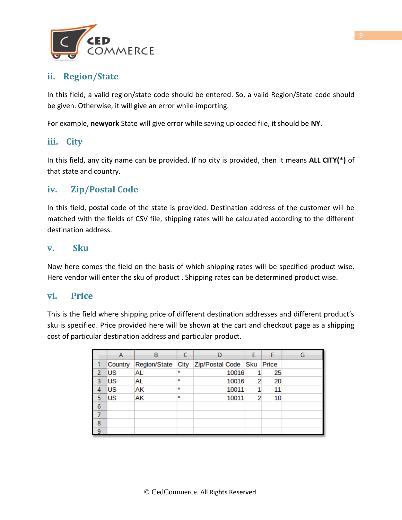

#### **ii. Region/State**

In this field, a valid region/state code should be entered. So, a valid Region/State code should be given. Otherwise, it will give an error while importing.

For example, **newyork** State will give error while saving uploaded file, it should be **NY**.

#### **iii. City**

In this field, any city name can be provided. If no city is provided, then it means **ALL CITY(\*)** of that state and country.

#### **iv. Zip/Postal Code**

In this field, postal code of the state is provided. Destination address of the customer will be matched with the fields of CSV file, shipping rates will be calculated according to the different destination address.

#### **v. Sku**

Now here comes the field on the basis of which shipping rates will be specified product wise. Here vendor will enter the sku of product . Shipping rates can be determined product wise.

#### **vi. Price**

This is the field where shipping price of different destination addresses and different product's sku is specified. Price provided here will be shown at the cart and checkout page as a shipping cost of particular destination address and particular product.

|         | Country   | <b>Region/State</b> |         | City Zip/Postal Code Sku |   | Price |  |
|---------|-----------|---------------------|---------|--------------------------|---|-------|--|
|         | <b>US</b> | AL                  | $\star$ | 10016                    |   | 25    |  |
|         | <b>US</b> | AL                  | ŵ       | 10016                    | 2 | 20    |  |
| 4       | ΙUS       | АK                  | ŵ       | 10011                    |   | 11    |  |
|         | US        | АK                  | ₩       | 10011                    | 2 | 10    |  |
| 6       |           |                     |         |                          |   |       |  |
|         |           |                     |         |                          |   |       |  |
| 8       |           |                     |         |                          |   |       |  |
| $\circ$ |           |                     |         |                          |   |       |  |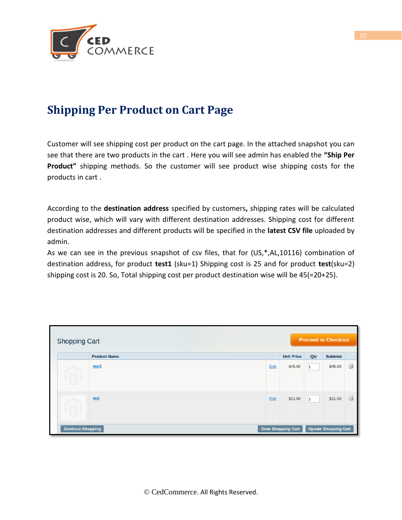

## **Shipping Per Product on Cart Page**

Customer will see shipping cost per product on the cart page. In the attached snapshot you can see that there are two products in the cart . Here you will see admin has enabled the **"Ship Per Product"** shipping methods. So the customer will see product wise shipping costs for the products in cart .

According to the **destination address** specified by customers**,** shipping rates will be calculated product wise, which will vary with different destination addresses. Shipping cost for different destination addresses and different products will be specified in the **latest CSV file** uploaded by admin.

As we can see in the previous snapshot of csv files, that for (US,\*,AL,10116) combination of destination address, for product **test1** (sku=1) Shipping cost is 25 and for product **test**(sku=2) shipping cost is 20. So, Total shipping cost per product destination wise will be 45(=20+25).

| <b>Shopping Cart</b>                                   |                     |  |                             | <b>Proceed to Checkout</b> |                   |     |                 |    |
|--------------------------------------------------------|---------------------|--|-----------------------------|----------------------------|-------------------|-----|-----------------|----|
|                                                        | <b>Product Name</b> |  |                             |                            | <b>Unit Price</b> | Qty | <b>Subtotal</b> |    |
|                                                        | test1               |  |                             | Edit                       | \$45.00           | 1   | \$45.00         | 6  |
|                                                        | test                |  |                             | Edit                       | \$11.00           | 1   | \$11.00         | 61 |
| <b>Continue Shopping</b><br><b>Clear Shopping Cart</b> |                     |  | <b>Update Shopping Cart</b> |                            |                   |     |                 |    |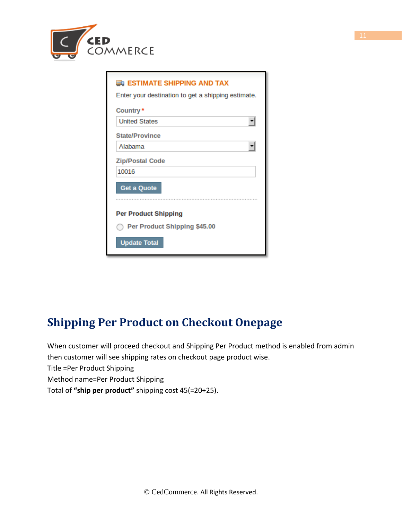

| <b>EDI ESTIMATE SHIPPING AND TAX</b>               |
|----------------------------------------------------|
| Enter your destination to get a shipping estimate. |
| Country*                                           |
| <b>United States</b>                               |
| <b>State/Province</b>                              |
| Alabama                                            |
| <b>Zip/Postal Code</b>                             |
| 10016                                              |
| <b>Get a Quote</b>                                 |
| <b>Per Product Shipping</b>                        |
| Per Product Shipping \$45.00                       |
| <b>Update Total</b>                                |

## <span id="page-10-0"></span>**Shipping Per Product on Checkout Onepage**

When customer will proceed checkout and Shipping Per Product method is enabled from admin then customer will see shipping rates on checkout page product wise. Title =Per Product Shipping Method name=Per Product Shipping Total of **"ship per product"** shipping cost 45(=20+25).